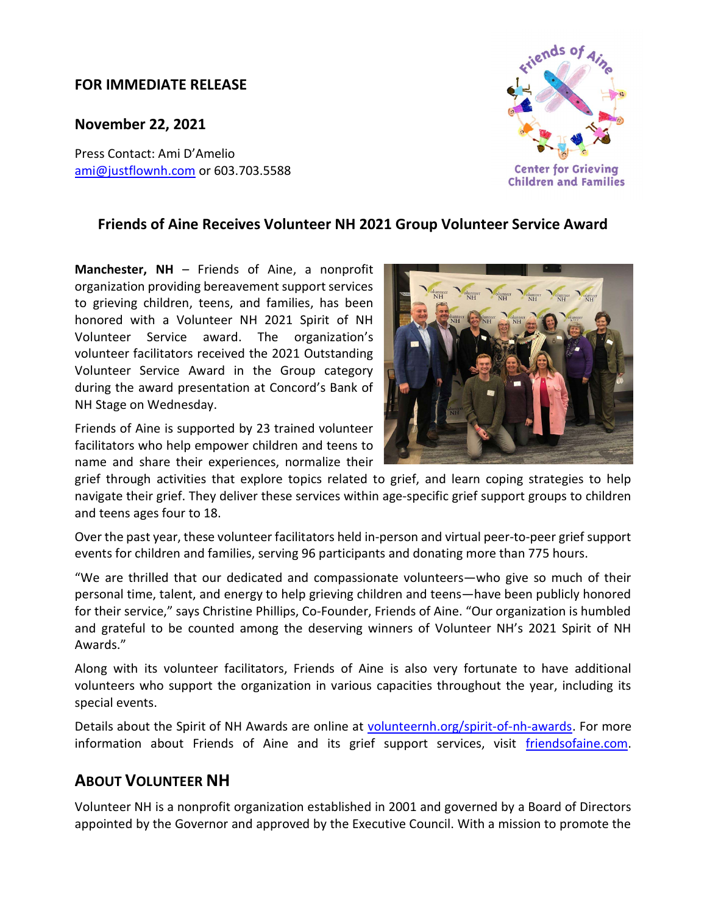## FOR IMMEDIATE RELEASE

November 22, 2021

Press Contact: Ami D'Amelio ami@justflownh.com</u> or 603.703.5588

## Friends of Aine Receives Volunteer NH 2021 Group Volunteer Service Award

Manchester, NH - Friends of Aine, a nonprofit organization providing bereavement support services to grieving children, teens, and families, has been honored with a Volunteer NH 2021 Spirit of NH Volunteer Service award. The organization's volunteer facilitators received the 2021 Outstanding Volunteer Service Award in the Group category during the award presentation at Concord's Bank of NH Stage on Wednesday.

Friends of Aine is supported by 23 trained volunteer facilitators who help empower children and teens to name and share their experiences, normalize their

grief through activities that explore topics related to grief, and learn coping strategies to help navigate their grief. They deliver these services within age-specific grief support groups to children and teens ages four to 18.

Over the past year, these volunteer facilitators held in-person and virtual peer-to-peer grief support events for children and families, serving 96 participants and donating more than 775 hours.

"We are thrilled that our dedicated and compassionate volunteers—who give so much of their personal time, talent, and energy to help grieving children and teens—have been publicly honored for their service," says Christine Phillips, Co-Founder, Friends of Aine. "Our organization is humbled and grateful to be counted among the deserving winners of Volunteer NH's 2021 Spirit of NH Awards."

Along with its volunteer facilitators, Friends of Aine is also very fortunate to have additional volunteers who support the organization in various capacities throughout the year, including its special events.

Details about the Spirit of NH Awards are online at volunteernh.org/spirit-of-nh-awards. For more information about Friends of Aine and its grief support services, visit friendsofaine.com.

## ABOUT VOLUNTEER NH

Volunteer NH is a nonprofit organization established in 2001 and governed by a Board of Directors appointed by the Governor and approved by the Executive Council. With a mission to promote the